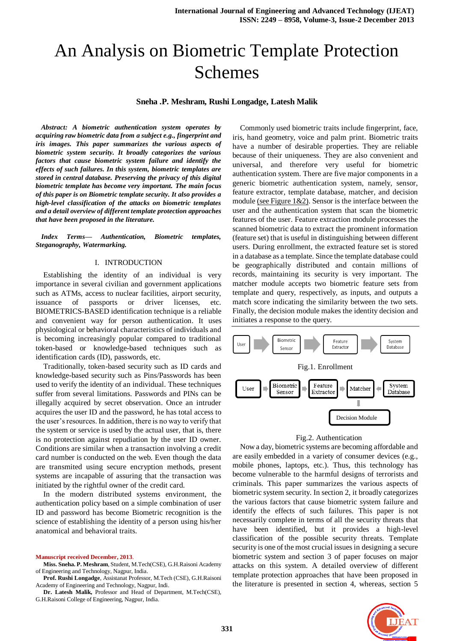# An Analysis on Biometric Template Protection Schemes

#### **Sneha .P. Meshram, Rushi Longadge, Latesh Malik**

*Abstract: A biometric authentication system operates by acquiring raw biometric data from a subject e.g., fingerprint and iris images. This paper summarizes the various aspects of biometric system security. It broadly categorizes the various factors that cause biometric system failure and identify the effects of such failures. In this system, biometric templates are stored in central database. Preserving the privacy of this digital biometric template has become very important. The main focus of this paper is on Biometric template security. It also provides a high-level classification of the attacks on biometric templates and a detail overview of different template protection approaches that have been proposed in the literature.*

*Index Terms— Authentication, Biometric templates, Steganography, Watermarking.*

## I. INTRODUCTION

Establishing the identity of an individual is very importance in several civilian and government applications such as ATMs, access to nuclear facilities, airport security, issuance of passports or driver licenses, etc. BIOMETRICS-BASED identification technique is a reliable and convenient way for person authentication. It uses physiological or behavioral characteristics of individuals and is becoming increasingly popular compared to traditional token-based or knowledge-based techniques such as identification cards (ID), passwords, etc.

Traditionally, token-based security such as ID cards and knowledge-based security such as Pins/Passwords has been used to verify the identity of an individual. These techniques suffer from several limitations. Passwords and PINs can be illegally acquired by secret observation. Once an intruder acquires the user ID and the password, he has total access to the user's resources. In addition, there is no way to verify that the system or service is used by the actual user, that is, there is no protection against repudiation by the user ID owner. Conditions are similar when a transaction involving a credit card number is conducted on the web. Even though the data are transmited using secure encryption methods, present systems are incapable of assuring that the transaction was initiated by the rightful owner of the credit card.

In the modern distributed systems environment, the authentication policy based on a simple combination of user ID and password has become Biometric recognition is the science of establishing the identity of a person using his/her anatomical and behavioral traits.

#### **Manuscript received December, 2013**.

**Miss. Sneha. P. Meshram**, Student, M.Tech(CSE), G.H.Raisoni Academy of Engineering and Technology, Nagpur, India.

**Prof. Rushi Longadge**, Assistanat Professor, M.Tech (CSE), G.H.Raisoni Academy of Engineering and Technology, Nagpur, Indi.

**Dr. Latesh Malik,** Professor and Head of Department, M.Tech(CSE), G.H.Raisoni College of Engineering, Nagpur, India.

Commonly used biometric traits include fingerprint, face, iris, hand geometry, voice and palm print. Biometric traits have a number of desirable properties. They are reliable because of their uniqueness. They are also convenient and universal, and therefore very useful for biometric authentication system. There are five major components in a generic biometric authentication system, namely, sensor, feature extractor, template database, matcher, and decision module (see Figure 1&2). Sensor is the interface between the user and the authentication system that scan the biometric features of the user. Feature extraction module processes the scanned biometric data to extract the prominent information (feature set) that is useful in distinguishing between different users. During enrollment, the extracted feature set is stored in a database as a template. Since the template database could be geographically distributed and contain millions of records, maintaining its security is very important. The matcher module accepts two biometric feature sets from template and query, respectively, as inputs, and outputs a match score indicating the similarity between the two sets. Finally, the decision module makes the identity decision and initiates a response to the query.





Now a day, biometric systems are becoming affordable and are easily embedded in a variety of consumer devices (e.g., mobile phones, laptops, etc.). Thus, this technology has become vulnerable to the harmful designs of terrorists and criminals. This paper summarizes the various aspects of biometric system security. In section 2, it broadly categorizes the various factors that cause biometric system failure and identify the effects of such failures. This paper is not necessarily complete in terms of all the security threats that have been identified, but it provides a high-level classification of the possible security threats. Template security is one of the most crucial issues in designing a secure biometric system and section 3 of paper focuses on major attacks on this system. A detailed overview of different template protection approaches that have been proposed in the literature is presented in section 4, whereas, section 5

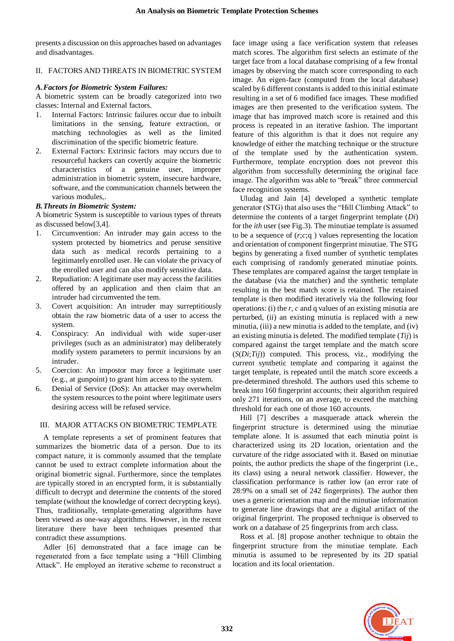presents a discussion on this approaches based on advantages and disadvantages.

## II. FACTORS AND THREATS IN BIOMETRIC SYSTEM

## *A.Factors for Biometric System Failures:*

A biometric system can be broadly categorized into two classes: Internal and External factors.

- 1. Internal Factors: Intrinsic failures occur due to inbuilt limitations in the sensing, feature extraction, or matching technologies as well as the limited discrimination of the specific biometric feature.
- 2. External Factors: Extrinsic factors may occurs due to resourceful hackers can covertly acquire the biometric characteristics of a genuine user, improper administration in biometric system, insecure hardware, software, and the communication channels between the various modules,.

## *B.Threats in Biometric System:*

A biometric System is susceptible to various types of threats as discussed below[3,4].

- 1. Circumvention: An intruder may gain access to the system protected by biometrics and peruse sensitive data such as medical records pertaining to a legitimately enrolled user. He can violate the privacy of the enrolled user and can also modify sensitive data.
- 2. Repudiation: A legitimate user may access the facilities offered by an application and then claim that an intruder had circumvented the tem.
- 3. Covert acquisition: An intruder may surreptitiously obtain the raw biometric data of a user to access the system.
- 4. Conspiracy: An individual with wide super-user privileges (such as an administrator) may deliberately modify system parameters to permit incursions by an intruder.
- 5. Coercion: An impostor may force a legitimate user (e.g., at gunpoint) to grant him access to the system.
- 6. Denial of Service (DoS): An attacker may overwhelm the system resources to the point where legitimate users desiring access will be refused service.

## III. MAJOR ATTACKS ON BIOMETRIC TEMPLATE

A template represents a set of prominent features that summarizes the biometric data of a person. Due to its compact nature, it is commonly assumed that the template cannot be used to extract complete information about the original biometric signal. Furthermore, since the templates are typically stored in an encrypted form, it is substantially difficult to decrypt and determine the contents of the stored template (without the knowledge of correct decrypting keys). Thus, traditionally, template-generating algorithms have been viewed as one-way algorithms. However, in the recent literature there have been techniques presented that contradict these assumptions.

Adler [6] demonstrated that a face image can be regenerated from a face template using a "Hill Climbing Attack". He employed an iterative scheme to reconstruct a face image using a face verification system that releases match scores. The algorithm first selects an estimate of the target face from a local database comprising of a few frontal images by observing the match score corresponding to each image. An eigen-face (computed from the local database) scaled by 6 different constants is added to this initial estimate resulting in a set of 6 modified face images. These modified images are then presented to the verification system. The image that has improved match score is retained and this process is repeated in an iterative fashion. The important feature of this algorithm is that it does not require any knowledge of either the matching technique or the structure of the template used by the authentication system. Furthermore, template encryption does not prevent this algorithm from successfully determining the original face image. The algorithm was able to "break" three commercial face recognition systems.

Uludag and Jain [4] developed a synthetic template generator (STG) that also uses the "Hill Climbing Attack" to determine the contents of a target fingerprint template (*Di*) for the *ith* user (see Fig.3). The minutiae template is assumed to be a sequence of  $(r, c; q)$  values representing the location and orientation of component fingerprint minutiae. The STG begins by generating a fixed number of synthetic templates each comprising of randomly generated minutiae points. These templates are compared against the target template in the database (via the matcher) and the synthetic template resulting in the best match score is retained. The retained template is then modified iteratively via the following four operations: (i) the *r*, *c* and q values of an existing minutia are perturbed, (ii) an existing minutia is replaced with a new minutia, (iii) a new minutia is added to the template, and (iv) an existing minutia is deleted. The modified template (*Tij*) is compared against the target template and the match score (*S*(*Di*;*Tij*)) computed. This process, viz., modifying the current synthetic template and comparing it against the target template, is repeated until the match score exceeds a pre-determined threshold. The authors used this scheme to break into 160 fingerprint accounts; their algorithm required only 271 iterations, on an average, to exceed the matching threshold for each one of those 160 accounts.

Hill [7] describes a masquerade attack wherein the fingerprint structure is determined using the minutiae template alone. It is assumed that each minutia point is characterized using its 2D location, orientation and the curvature of the ridge associated with it. Based on minutiae points, the author predicts the shape of the fingerprint (i.e., its class) using a neural network classifier. However, the classification performance is rather low (an error rate of 28:9% on a small set of 242 fingerprints). The author then uses a generic orientation map and the minutiae information to generate line drawings that are a digital artifact of the original fingerprint. The proposed technique is observed to work on a database of 25 fingerprints from arch class.

Ross et al. [8] propose another technique to obtain the fingerprint structure from the minutiae template. Each minutia is assumed to be represented by its 2D spatial location and its local orientation.

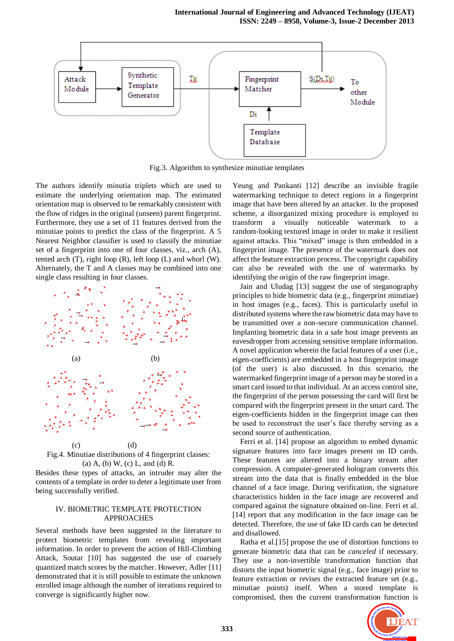

Fig.3. Algorithm to synthesize minutiae templates

The authors identify minutia triplets which are used to estimate the underlying orientation map. The estimated orientation map is observed to be remarkably consistent with the flow of ridges in the original (unseen) parent fingerprint. Furthermore, they use a set of 11 features derived from the minutiae points to predict the class of the fingerprint. A 5 Nearest Neighbor classifier is used to classify the minutiae set of a fingerprint into one of four classes, viz., arch (A), tented arch (T), right loop (R), left loop (L) and whorl (W). Alternately, the T and A classes may be combined into one single class resulting in four classes.



Fig.4. Minutiae distributions of 4 fingerprint classes: (a) A, (b) W, (c) L, and (d) R.

Besides these types of attacks, an intruder may alter the contents of a template in order to deter a legitimate user from being successfully verified.

#### IV. BIOMETRIC TEMPLATE PROTECTION APPROACHES

Several methods have been suggested in the literature to protect biometric templates from revealing important information. In order to prevent the action of Hill-Climbing Attack, Soutar [10] has suggested the use of coarsely quantized match scores by the matcher. However, Adler [11] demonstrated that it is still possible to estimate the unknown enrolled image although the number of iterations required to converge is significantly higher now.

Yeung and Pankanti [12] describe an invisible fragile watermarking technique to detect regions in a fingerprint image that have been altered by an attacker. In the proposed scheme, a disorganized mixing procedure is employed to transform a visually noticeable watermark to a random-looking textured image in order to make it resilient against attacks. This "mixed" image is then embedded in a fingerprint image. The presence of the watermark does not affect the feature extraction process. The copyright capability can also be revealed with the use of watermarks by identifying the origin of the raw fingerprint image.

Jain and Uludag [13] suggest the use of steganography principles to hide biometric data (e.g., fingerprint minutiae) in host images (e.g., faces). This is particularly useful in distributed systems where the raw biometric data may have to be transmitted over a non-secure communication channel. Implanting biometric data in a safe host image prevents an eavesdropper from accessing sensitive template information. A novel application wherein the facial features of a user (i.e., eigen-coefficients) are embedded in a host fingerprint image (of the user) is also discussed. In this scenario, the watermarked fingerprint image of a person may be stored in a smart card issued to that individual. At an access control site, the fingerprint of the person possessing the card will first be compared with the fingerprint present in the smart card. The eigen-coefficients hidden in the fingerprint image can then be used to reconstruct the user's face thereby serving as a second source of authentication.

Ferri et al. [14] propose an algorithm to embed dynamic signature features into face images present on ID cards. These features are altered into a binary stream after compression. A computer-generated hologram converts this stream into the data that is finally embedded in the blue channel of a face image. During verification, the signature characteristics hidden in the face image are recovered and compared against the signature obtained on-line. Ferri et al. [14] report that any modification in the face image can be detected. Therefore, the use of fake ID cards can be detected and disallowed.

Ratha et al.[15] propose the use of distortion functions to generate biometric data that can be *canceled* if necessary. They use a non-invertible transformation function that distorts the input biometric signal (e.g., face image) prior to feature extraction or revises the extracted feature set (e.g., minutiae points) itself. When a stored template is compromised, then the current transformation function is

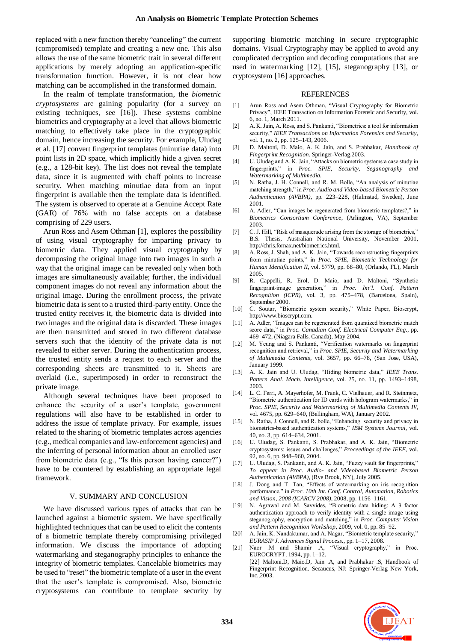replaced with a new function thereby "canceling" the current (compromised) template and creating a new one. This also allows the use of the same biometric trait in several different applications by merely adopting an application-specific transformation function. However, it is not clear how matching can be accomplished in the transformed domain.

In the realm of template transformation, the *biometric cryptosystems* are gaining popularity (for a survey on existing techniques, see [16]). These systems combine biometrics and cryptography at a level that allows biometric matching to effectively take place in the cryptographic domain, hence increasing the security. For example, Uludag et al. [17] convert fingerprint templates (minutiae data) into point lists in 2D space, which implicitly hide a given secret (e.g., a 128-bit key). The list does not reveal the template data, since it is augmented with chaff points to increase security. When matching minutiae data from an input fingerprint is available then the template data is identified. The system is observed to operate at a Genuine Accept Rate (GAR) of 76% with no false accepts on a database comprising of 229 users.

Arun Ross and Asem Othman [1], explores the possibility of using visual cryptography for imparting privacy to biometric data. They applied visual cryptography by decomposing the original image into two images in such a way that the original image can be revealed only when both images are simultaneously available; further, the individual component images do not reveal any information about the original image. During the enrollment process, the private biometric data is sent to a trusted third-party entity. Once the trusted entity receives it, the biometric data is divided into two images and the original data is discarded. These images are then transmitted and stored in two different database servers such that the identity of the private data is not revealed to either server. During the authentication process, the trusted entity sends a request to each server and the corresponding sheets are transmitted to it. Sheets are overlaid (i.e., superimposed) in order to reconstruct the private image.

Although several techniques have been proposed to enhance the security of a user's template, government regulations will also have to be established in order to address the issue of template privacy. For example, issues related to the sharing of biometric templates across agencies (e.g., medical companies and law-enforcement agencies) and the inferring of personal information about an enrolled user from biometric data (e.g., "Is this person having cancer?") have to be countered by establishing an appropriate legal framework.

## V. SUMMARY AND CONCLUSION

We have discussed various types of attacks that can be launched against a biometric system. We have specifically highlighted techniques that can be used to elicit the contents of a biometric template thereby compromising privileged information. We discuss the importance of adopting watermarking and steganography principles to enhance the integrity of biometric templates. Cancelable biometrics may be used to "reset" the biometric template of a user in the event that the user's template is compromised. Also, biometric cryptosystems can contribute to template security by

supporting biometric matching in secure cryptographic domains. Visual Cryptography may be applied to avoid any complicated decryption and decoding computations that are used in watermarking [12], [15], steganography [13], or cryptosystem [16] approaches.

#### REFERENCES

- [1] Arun Ross and Asem Othman, "Visual Cryptography for Biometric Privacy", IEEE Transaction on Information Forensic and Security, vol. 6, no. 1, March 2011.
- [2] A. K. Jain, A. Ross, and S. Pankanti, "Biometrics: a tool for information security," *IEEE Transactions on Information Forensics and Security*, vol. 1, no. 2, pp. 125–143, 2006.
- [3] D. Maltoni, D. Maio, A. K. Jain, and S. Prabhakar, *Handbook of Fingerprint Recognition*. Springer-Verlag,2003.
- [4] U. Uludag and A. K. Jain, "Attacks on biometric systems:a case study in fingerprints," in *Proc. SPIE, Security, Seganography and Watermarking of Multimedia.*
- [5] N. Ratha, J. H. Connell, and R. M. Bolle, "An analysis of minutiae matching strength," in *Proc. Audio and Video-based Biometric Person Authentication (AVBPA)*, pp. 223–228, (Halmstad, Sweden), June 2001.
- [6] A. Adler, "Can images be regenerated from biometric templates?," in *Biometrics Consortium Conference*, (Arlington, VA), September 2003.
- [7] C. J. Hill, "Risk of masquerade arising from the storage of biometrics," B.S. Thesis, Australian National University, November 2001, http://chris.fornax.net/biometrics.html.
- [8] A. Ross, J. Shah, and A. K. Jain, "Towards reconstructing fingerprints from minutiae points," in *Proc. SPIE, Biometric Technology for Human Identification II*, vol. 5779, pp. 68–80, (Orlando, FL), March 2005.
- [9] R. Cappelli, R. Erol, D. Maio, and D. Maltoni, "Synthetic fingerprint-image generation," in *Proc. Int'l. Conf. Pattern Recognition (ICPR)*, vol. 3, pp. 475–478, (Barcelona, Spain), September 2000.
- [10] C. Soutar, "Biometric system security," White Paper, Bioscrypt, http://www.bioscrypt.com.
- [11] A. Adler, "Images can be regenerated from quantized biometric match score data," in *Proc. Canadian Conf. Electrical Computer Eng.*, pp. 469–472, (Niagara Falls, Canada), May 2004.
- [12] M. Yeung and S. Pankanti, "Verification watermarks on fingerprint recognition and retrieval," in *Proc. SPIE, Security and Watermarking of Multimedia Contents*, vol. 3657, pp. 66–78, (San Jose, USA), January 1999.
- [13] A. K. Jain and U. Uludag, "Hiding biometric data," *IEEE Trans. Pattern Anal. Mach. Intelligence*, vol. 25, no. 11, pp. 1493–1498, 2003.
- [14] L. C. Ferri, A. Mayerhofer, M. Frank, C. Vielhauer, and R. Steinmetz, "Biometric authentication for ID cards with hologram watermarks," in *Proc. SPIE, Security and Watermarking of Multimedia Contents IV*, vol. 4675, pp. 629–640, (Bellingham, WA), January 2002.
- [15] N. Ratha, J. Connell, and R. bolle, "Enhancing security and privacy in biometrics-based authentication systems," *IBM Systems Journal*, vol. 40, no. 3, pp. 614–634, 2001.
- [16] U. Uludag, S. Pankanti, S. Prabhakar, and A. K. Jain, "Biometric cryptosystems: issues and challenges," *Proceedings of the IEEE*, vol. 92, no. 6, pp. 948–960, 2004.
- [17] U. Uludag, S. Pankanti, and A. K. Jain, "Fuzzy vault for fingerprints," *To appear in Proc. Audio- and Videobased Biometric Person Authentication (AVBPA)*, (Rye Brook, NY), July 2005.
- [18] J. Dong and T. Tan, "Effects of watermarking on iris recognition performance," in *Proc. 10th Int. Conf. Control, Automation, Robotics and Vision, 2008 (ICARCV 2008)*, 2008, pp. 1156–1161.
- [19] N. Agrawal and M. Savvides, "Biometric data hiding: A 3 factor authentication approach to verify identity with a single image using steganography, encryption and matching," in *Proc. Computer Vision and Pattern Recognition Workshop*, 2009, vol. 0, pp. 85–92.
- [20] A. Jain, K. Nandakumar, and A. Nagar, "Biometric template security," *EURASIP J. Advances Signal Process.*, pp. 1–17, 2008.
- [21] Naor .M and Shamir .A, "Visual cryptography," in Proc. EUROCRYPT, 1994, pp. 1–12. [22] Maltoni.D, Maio.D, Jain .A, and Prabhakar .S, Handbook of Fingerprint Recognition. Secaucus, NJ: Springer-Verlag New York, Inc.,2003.